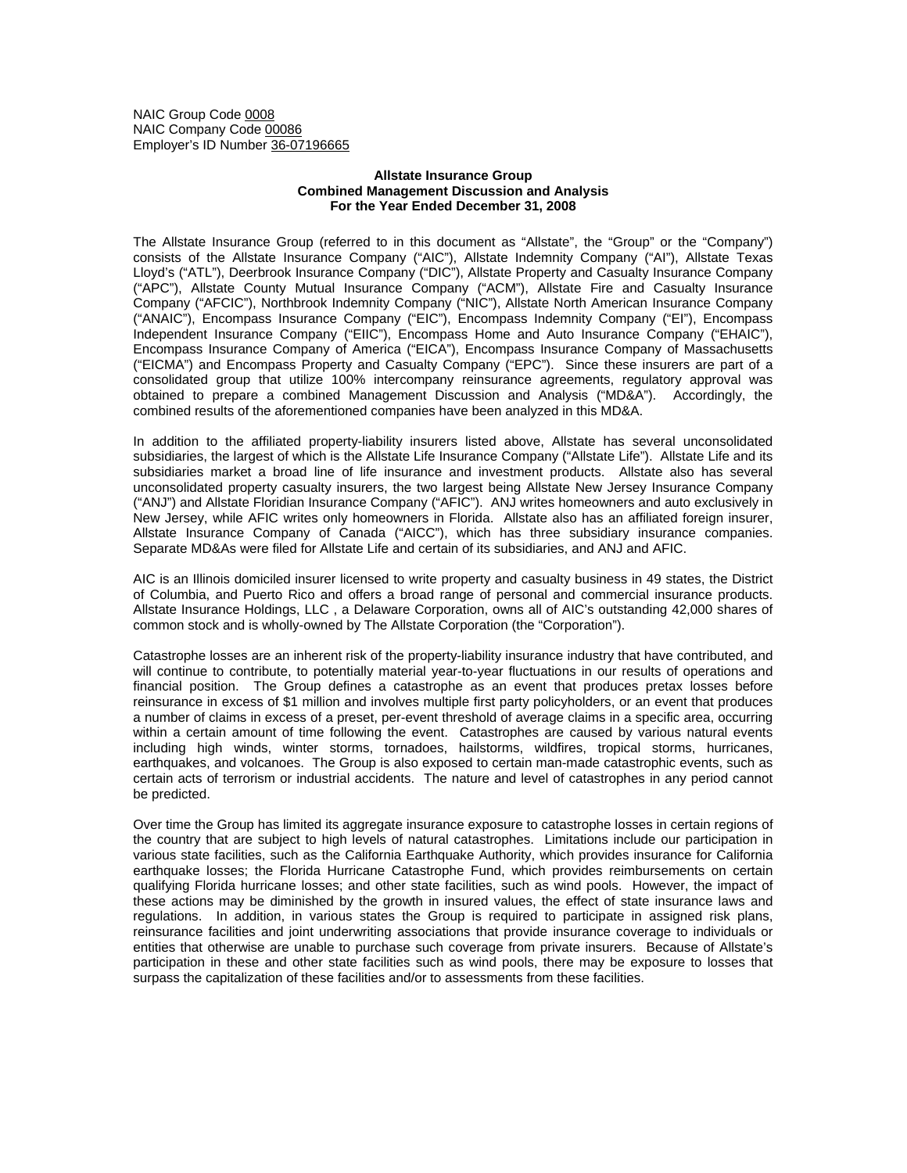NAIC Group Code 0008 NAIC Company Code 00086 Employer's ID Number 36-07196665

## **Allstate Insurance Group Combined Management Discussion and Analysis For the Year Ended December 31, 2008**

The Allstate Insurance Group (referred to in this document as "Allstate", the "Group" or the "Company") consists of the Allstate Insurance Company ("AIC"), Allstate Indemnity Company ("AI"), Allstate Texas Lloyd's ("ATL"), Deerbrook Insurance Company ("DIC"), Allstate Property and Casualty Insurance Company ("APC"), Allstate County Mutual Insurance Company ("ACM"), Allstate Fire and Casualty Insurance Company ("AFCIC"), Northbrook Indemnity Company ("NIC"), Allstate North American Insurance Company ("ANAIC"), Encompass Insurance Company ("EIC"), Encompass Indemnity Company ("EI"), Encompass Independent Insurance Company ("EIIC"), Encompass Home and Auto Insurance Company ("EHAIC"), Encompass Insurance Company of America ("EICA"), Encompass Insurance Company of Massachusetts ("EICMA") and Encompass Property and Casualty Company ("EPC"). Since these insurers are part of a consolidated group that utilize 100% intercompany reinsurance agreements, regulatory approval was obtained to prepare a combined Management Discussion and Analysis ("MD&A"). Accordingly, the combined results of the aforementioned companies have been analyzed in this MD&A.

In addition to the affiliated property-liability insurers listed above, Allstate has several unconsolidated subsidiaries, the largest of which is the Allstate Life Insurance Company ("Allstate Life"). Allstate Life and its subsidiaries market a broad line of life insurance and investment products. Allstate also has several unconsolidated property casualty insurers, the two largest being Allstate New Jersey Insurance Company ("ANJ") and Allstate Floridian Insurance Company ("AFIC"). ANJ writes homeowners and auto exclusively in New Jersey, while AFIC writes only homeowners in Florida. Allstate also has an affiliated foreign insurer, Allstate Insurance Company of Canada ("AICC"), which has three subsidiary insurance companies. Separate MD&As were filed for Allstate Life and certain of its subsidiaries, and ANJ and AFIC.

AIC is an Illinois domiciled insurer licensed to write property and casualty business in 49 states, the District of Columbia, and Puerto Rico and offers a broad range of personal and commercial insurance products. Allstate Insurance Holdings, LLC , a Delaware Corporation, owns all of AIC's outstanding 42,000 shares of common stock and is wholly-owned by The Allstate Corporation (the "Corporation").

Catastrophe losses are an inherent risk of the property-liability insurance industry that have contributed, and will continue to contribute, to potentially material year-to-year fluctuations in our results of operations and financial position. The Group defines a catastrophe as an event that produces pretax losses before reinsurance in excess of \$1 million and involves multiple first party policyholders, or an event that produces a number of claims in excess of a preset, per-event threshold of average claims in a specific area, occurring within a certain amount of time following the event. Catastrophes are caused by various natural events including high winds, winter storms, tornadoes, hailstorms, wildfires, tropical storms, hurricanes, earthquakes, and volcanoes. The Group is also exposed to certain man-made catastrophic events, such as certain acts of terrorism or industrial accidents. The nature and level of catastrophes in any period cannot be predicted.

Over time the Group has limited its aggregate insurance exposure to catastrophe losses in certain regions of the country that are subject to high levels of natural catastrophes. Limitations include our participation in various state facilities, such as the California Earthquake Authority, which provides insurance for California earthquake losses; the Florida Hurricane Catastrophe Fund, which provides reimbursements on certain qualifying Florida hurricane losses; and other state facilities, such as wind pools. However, the impact of these actions may be diminished by the growth in insured values, the effect of state insurance laws and regulations. In addition, in various states the Group is required to participate in assigned risk plans, reinsurance facilities and joint underwriting associations that provide insurance coverage to individuals or entities that otherwise are unable to purchase such coverage from private insurers. Because of Allstate's participation in these and other state facilities such as wind pools, there may be exposure to losses that surpass the capitalization of these facilities and/or to assessments from these facilities.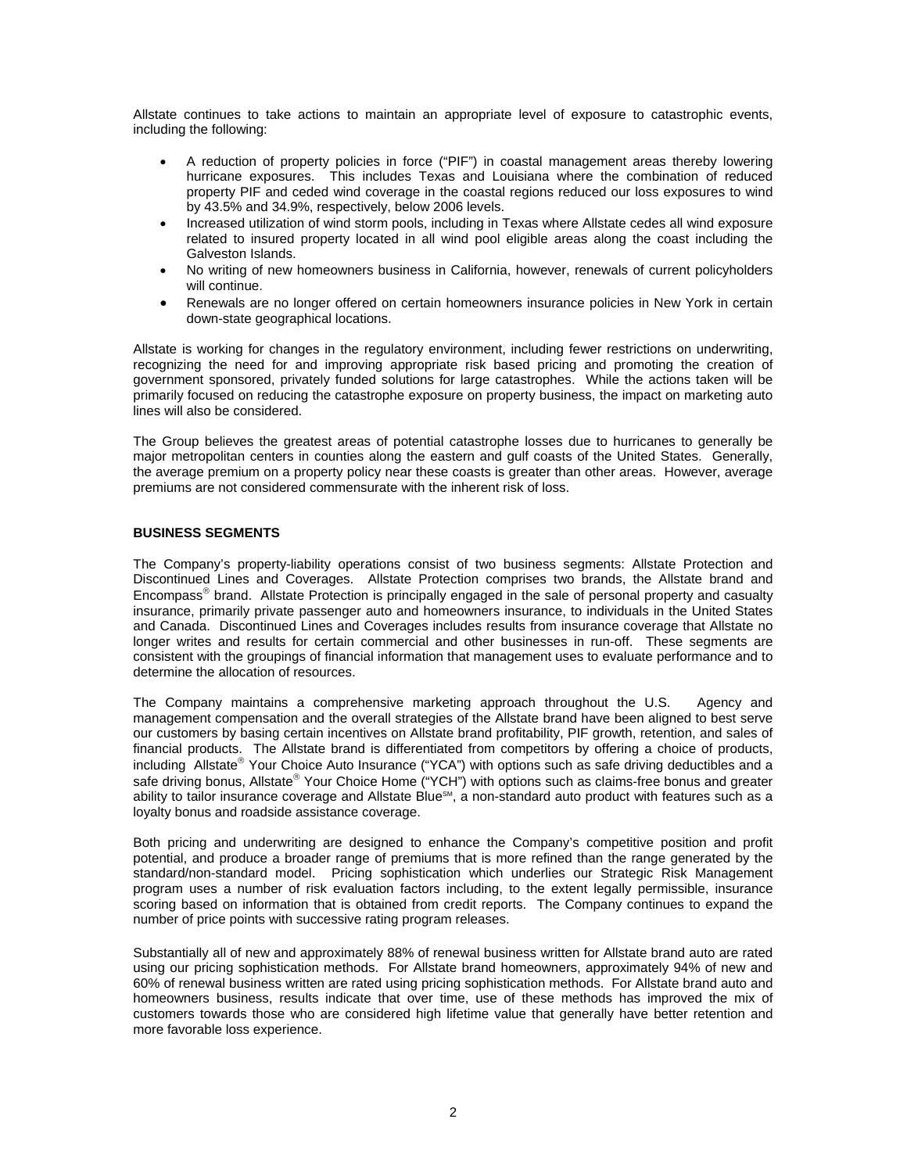Allstate continues to take actions to maintain an appropriate level of exposure to catastrophic events, including the following:

- A reduction of property policies in force ("PIF") in coastal management areas thereby lowering hurricane exposures. This includes Texas and Louisiana where the combination of reduced property PIF and ceded wind coverage in the coastal regions reduced our loss exposures to wind by 43.5% and 34.9%, respectively, below 2006 levels.
- Increased utilization of wind storm pools, including in Texas where Allstate cedes all wind exposure related to insured property located in all wind pool eligible areas along the coast including the Galveston Islands.
- No writing of new homeowners business in California, however, renewals of current policyholders will continue.
- Renewals are no longer offered on certain homeowners insurance policies in New York in certain down-state geographical locations.

Allstate is working for changes in the regulatory environment, including fewer restrictions on underwriting, recognizing the need for and improving appropriate risk based pricing and promoting the creation of government sponsored, privately funded solutions for large catastrophes. While the actions taken will be primarily focused on reducing the catastrophe exposure on property business, the impact on marketing auto lines will also be considered.

The Group believes the greatest areas of potential catastrophe losses due to hurricanes to generally be major metropolitan centers in counties along the eastern and gulf coasts of the United States. Generally, the average premium on a property policy near these coasts is greater than other areas. However, average premiums are not considered commensurate with the inherent risk of loss.

# **BUSINESS SEGMENTS**

The Company's property-liability operations consist of two business segments: Allstate Protection and Discontinued Lines and Coverages. Allstate Protection comprises two brands, the Allstate brand and Encompass® brand. Allstate Protection is principally engaged in the sale of personal property and casualty insurance, primarily private passenger auto and homeowners insurance, to individuals in the United States and Canada. Discontinued Lines and Coverages includes results from insurance coverage that Allstate no longer writes and results for certain commercial and other businesses in run-off. These segments are consistent with the groupings of financial information that management uses to evaluate performance and to determine the allocation of resources.

The Company maintains a comprehensive marketing approach throughout the U.S. Agency and management compensation and the overall strategies of the Allstate brand have been aligned to best serve our customers by basing certain incentives on Allstate brand profitability, PIF growth, retention, and sales of financial products. The Allstate brand is differentiated from competitors by offering a choice of products, including Allstate® Your Choice Auto Insurance ("YCA") with options such as safe driving deductibles and a safe driving bonus, Allstate® Your Choice Home ("YCH") with options such as claims-free bonus and greater ability to tailor insurance coverage and Allstate Blue<sup>sM</sup>, a non-standard auto product with features such as a loyalty bonus and roadside assistance coverage.

Both pricing and underwriting are designed to enhance the Company's competitive position and profit potential, and produce a broader range of premiums that is more refined than the range generated by the standard/non-standard model. Pricing sophistication which underlies our Strategic Risk Management program uses a number of risk evaluation factors including, to the extent legally permissible, insurance scoring based on information that is obtained from credit reports. The Company continues to expand the number of price points with successive rating program releases.

Substantially all of new and approximately 88% of renewal business written for Allstate brand auto are rated using our pricing sophistication methods. For Allstate brand homeowners, approximately 94% of new and 60% of renewal business written are rated using pricing sophistication methods. For Allstate brand auto and homeowners business, results indicate that over time, use of these methods has improved the mix of customers towards those who are considered high lifetime value that generally have better retention and more favorable loss experience.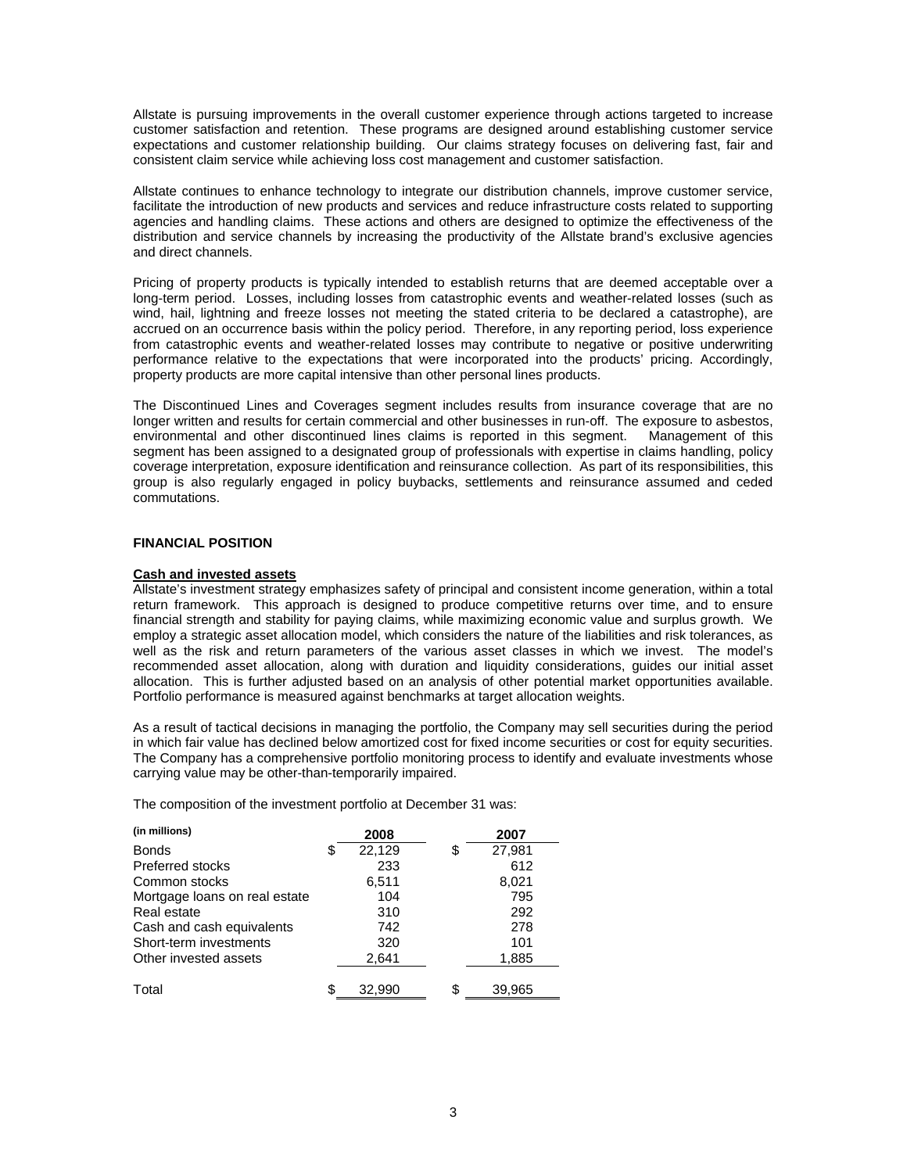Allstate is pursuing improvements in the overall customer experience through actions targeted to increase customer satisfaction and retention. These programs are designed around establishing customer service expectations and customer relationship building. Our claims strategy focuses on delivering fast, fair and consistent claim service while achieving loss cost management and customer satisfaction.

Allstate continues to enhance technology to integrate our distribution channels, improve customer service, facilitate the introduction of new products and services and reduce infrastructure costs related to supporting agencies and handling claims. These actions and others are designed to optimize the effectiveness of the distribution and service channels by increasing the productivity of the Allstate brand's exclusive agencies and direct channels.

Pricing of property products is typically intended to establish returns that are deemed acceptable over a long-term period. Losses, including losses from catastrophic events and weather-related losses (such as wind, hail, lightning and freeze losses not meeting the stated criteria to be declared a catastrophe), are accrued on an occurrence basis within the policy period. Therefore, in any reporting period, loss experience from catastrophic events and weather-related losses may contribute to negative or positive underwriting performance relative to the expectations that were incorporated into the products' pricing. Accordingly, property products are more capital intensive than other personal lines products.

The Discontinued Lines and Coverages segment includes results from insurance coverage that are no longer written and results for certain commercial and other businesses in run-off. The exposure to asbestos, environmental and other discontinued lines claims is reported in this segment. Management of this segment has been assigned to a designated group of professionals with expertise in claims handling, policy coverage interpretation, exposure identification and reinsurance collection. As part of its responsibilities, this group is also regularly engaged in policy buybacks, settlements and reinsurance assumed and ceded commutations.

## **FINANCIAL POSITION**

## **Cash and invested assets**

Allstate's investment strategy emphasizes safety of principal and consistent income generation, within a total return framework. This approach is designed to produce competitive returns over time, and to ensure financial strength and stability for paying claims, while maximizing economic value and surplus growth. We employ a strategic asset allocation model, which considers the nature of the liabilities and risk tolerances, as well as the risk and return parameters of the various asset classes in which we invest. The model's recommended asset allocation, along with duration and liquidity considerations, guides our initial asset allocation. This is further adjusted based on an analysis of other potential market opportunities available. Portfolio performance is measured against benchmarks at target allocation weights.

As a result of tactical decisions in managing the portfolio, the Company may sell securities during the period in which fair value has declined below amortized cost for fixed income securities or cost for equity securities. The Company has a comprehensive portfolio monitoring process to identify and evaluate investments whose carrying value may be other-than-temporarily impaired.

The composition of the investment portfolio at December 31 was:

| (in millions)                 |    | 2008   | 2007         |
|-------------------------------|----|--------|--------------|
| <b>Bonds</b>                  | \$ | 22,129 | \$<br>27,981 |
| <b>Preferred stocks</b>       |    | 233    | 612          |
| Common stocks                 |    | 6,511  | 8,021        |
| Mortgage loans on real estate |    | 104    | 795          |
| Real estate                   |    | 310    | 292          |
| Cash and cash equivalents     |    | 742    | 278          |
| Short-term investments        |    | 320    | 101          |
| Other invested assets         |    | 2,641  | 1,885        |
|                               |    |        |              |
| Total                         | S  | 32,990 | \$<br>39,965 |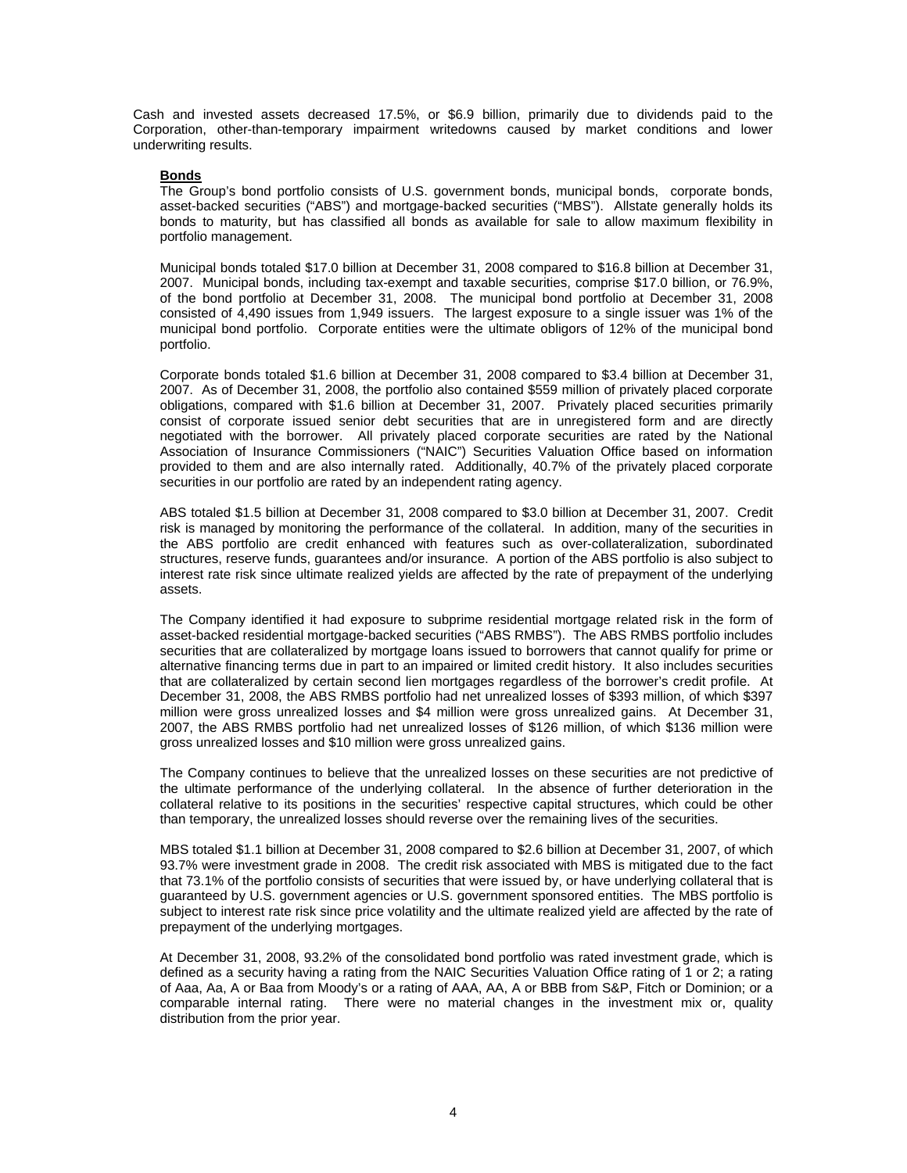Cash and invested assets decreased 17.5%, or \$6.9 billion, primarily due to dividends paid to the Corporation, other-than-temporary impairment writedowns caused by market conditions and lower underwriting results.

## **Bonds**

The Group's bond portfolio consists of U.S. government bonds, municipal bonds, corporate bonds, asset-backed securities ("ABS") and mortgage-backed securities ("MBS"). Allstate generally holds its bonds to maturity, but has classified all bonds as available for sale to allow maximum flexibility in portfolio management.

Municipal bonds totaled \$17.0 billion at December 31, 2008 compared to \$16.8 billion at December 31, 2007. Municipal bonds, including tax-exempt and taxable securities, comprise \$17.0 billion, or 76.9%, of the bond portfolio at December 31, 2008. The municipal bond portfolio at December 31, 2008 consisted of 4,490 issues from 1,949 issuers. The largest exposure to a single issuer was 1% of the municipal bond portfolio. Corporate entities were the ultimate obligors of 12% of the municipal bond portfolio.

Corporate bonds totaled \$1.6 billion at December 31, 2008 compared to \$3.4 billion at December 31, 2007. As of December 31, 2008, the portfolio also contained \$559 million of privately placed corporate obligations, compared with \$1.6 billion at December 31, 2007. Privately placed securities primarily consist of corporate issued senior debt securities that are in unregistered form and are directly negotiated with the borrower. All privately placed corporate securities are rated by the National Association of Insurance Commissioners ("NAIC") Securities Valuation Office based on information provided to them and are also internally rated. Additionally, 40.7% of the privately placed corporate securities in our portfolio are rated by an independent rating agency.

ABS totaled \$1.5 billion at December 31, 2008 compared to \$3.0 billion at December 31, 2007. Credit risk is managed by monitoring the performance of the collateral. In addition, many of the securities in the ABS portfolio are credit enhanced with features such as over-collateralization, subordinated structures, reserve funds, guarantees and/or insurance. A portion of the ABS portfolio is also subject to interest rate risk since ultimate realized yields are affected by the rate of prepayment of the underlying assets.

The Company identified it had exposure to subprime residential mortgage related risk in the form of asset-backed residential mortgage-backed securities ("ABS RMBS"). The ABS RMBS portfolio includes securities that are collateralized by mortgage loans issued to borrowers that cannot qualify for prime or alternative financing terms due in part to an impaired or limited credit history. It also includes securities that are collateralized by certain second lien mortgages regardless of the borrower's credit profile. At December 31, 2008, the ABS RMBS portfolio had net unrealized losses of \$393 million, of which \$397 million were gross unrealized losses and \$4 million were gross unrealized gains. At December 31, 2007, the ABS RMBS portfolio had net unrealized losses of \$126 million, of which \$136 million were gross unrealized losses and \$10 million were gross unrealized gains.

The Company continues to believe that the unrealized losses on these securities are not predictive of the ultimate performance of the underlying collateral. In the absence of further deterioration in the collateral relative to its positions in the securities' respective capital structures, which could be other than temporary, the unrealized losses should reverse over the remaining lives of the securities.

MBS totaled \$1.1 billion at December 31, 2008 compared to \$2.6 billion at December 31, 2007, of which 93.7% were investment grade in 2008. The credit risk associated with MBS is mitigated due to the fact that 73.1% of the portfolio consists of securities that were issued by, or have underlying collateral that is guaranteed by U.S. government agencies or U.S. government sponsored entities. The MBS portfolio is subject to interest rate risk since price volatility and the ultimate realized yield are affected by the rate of prepayment of the underlying mortgages.

At December 31, 2008, 93.2% of the consolidated bond portfolio was rated investment grade, which is defined as a security having a rating from the NAIC Securities Valuation Office rating of 1 or 2; a rating of Aaa, Aa, A or Baa from Moody's or a rating of AAA, AA, A or BBB from S&P, Fitch or Dominion; or a comparable internal rating. There were no material changes in the investment mix or, quality distribution from the prior year.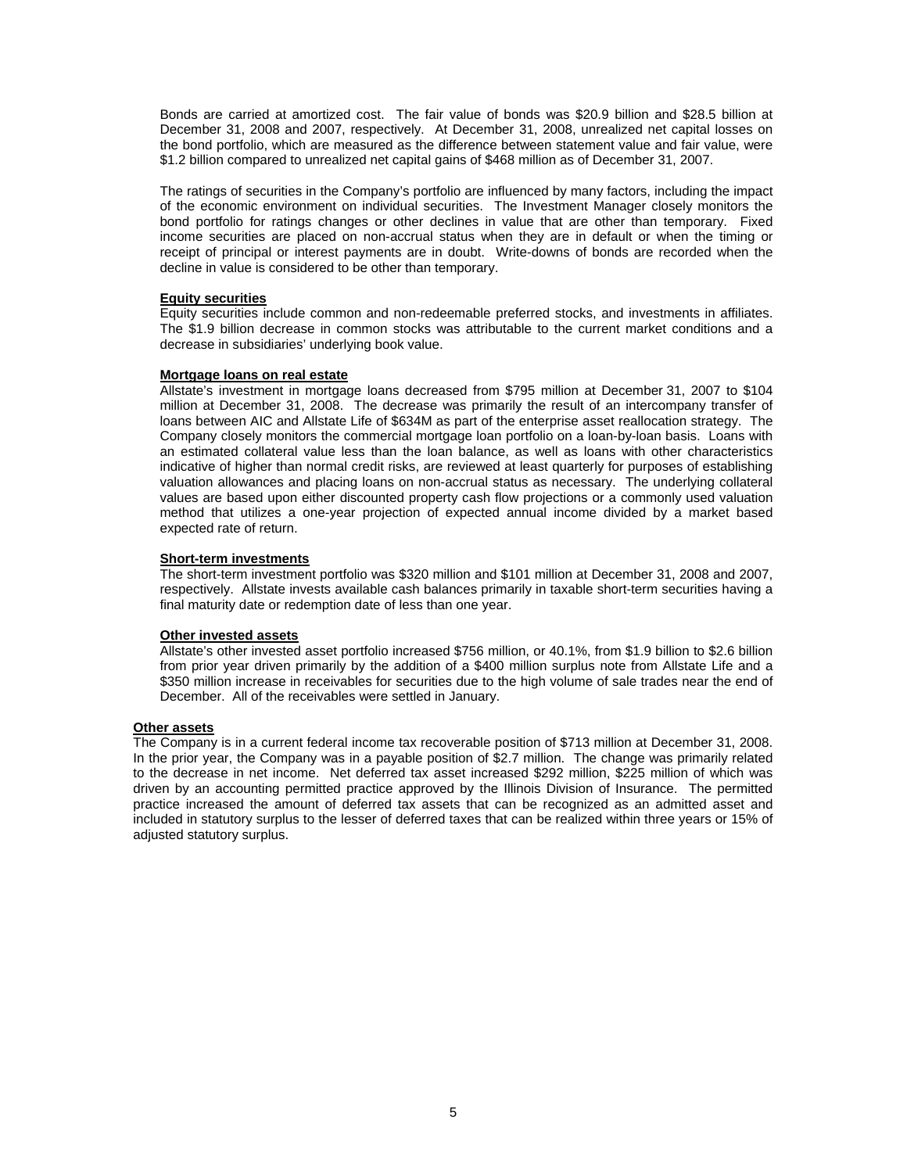Bonds are carried at amortized cost. The fair value of bonds was \$20.9 billion and \$28.5 billion at December 31, 2008 and 2007, respectively. At December 31, 2008, unrealized net capital losses on the bond portfolio, which are measured as the difference between statement value and fair value, were \$1.2 billion compared to unrealized net capital gains of \$468 million as of December 31, 2007.

The ratings of securities in the Company's portfolio are influenced by many factors, including the impact of the economic environment on individual securities. The Investment Manager closely monitors the bond portfolio for ratings changes or other declines in value that are other than temporary. Fixed income securities are placed on non-accrual status when they are in default or when the timing or receipt of principal or interest payments are in doubt. Write-downs of bonds are recorded when the decline in value is considered to be other than temporary.

## **Equity securities**

Equity securities include common and non-redeemable preferred stocks, and investments in affiliates. The \$1.9 billion decrease in common stocks was attributable to the current market conditions and a decrease in subsidiaries' underlying book value.

## **Mortgage loans on real estate**

Allstate's investment in mortgage loans decreased from \$795 million at December 31, 2007 to \$104 million at December 31, 2008. The decrease was primarily the result of an intercompany transfer of loans between AIC and Allstate Life of \$634M as part of the enterprise asset reallocation strategy. The Company closely monitors the commercial mortgage loan portfolio on a loan-by-loan basis. Loans with an estimated collateral value less than the loan balance, as well as loans with other characteristics indicative of higher than normal credit risks, are reviewed at least quarterly for purposes of establishing valuation allowances and placing loans on non-accrual status as necessary. The underlying collateral values are based upon either discounted property cash flow projections or a commonly used valuation method that utilizes a one-year projection of expected annual income divided by a market based expected rate of return.

# **Short-term investments**

The short-term investment portfolio was \$320 million and \$101 million at December 31, 2008 and 2007, respectively. Allstate invests available cash balances primarily in taxable short-term securities having a final maturity date or redemption date of less than one year.

#### **Other invested assets**

Allstate's other invested asset portfolio increased \$756 million, or 40.1%, from \$1.9 billion to \$2.6 billion from prior year driven primarily by the addition of a \$400 million surplus note from Allstate Life and a \$350 million increase in receivables for securities due to the high volume of sale trades near the end of December. All of the receivables were settled in January.

# **Other assets**

The Company is in a current federal income tax recoverable position of \$713 million at December 31, 2008. In the prior year, the Company was in a payable position of \$2.7 million. The change was primarily related to the decrease in net income. Net deferred tax asset increased \$292 million, \$225 million of which was driven by an accounting permitted practice approved by the Illinois Division of Insurance. The permitted practice increased the amount of deferred tax assets that can be recognized as an admitted asset and included in statutory surplus to the lesser of deferred taxes that can be realized within three years or 15% of adjusted statutory surplus.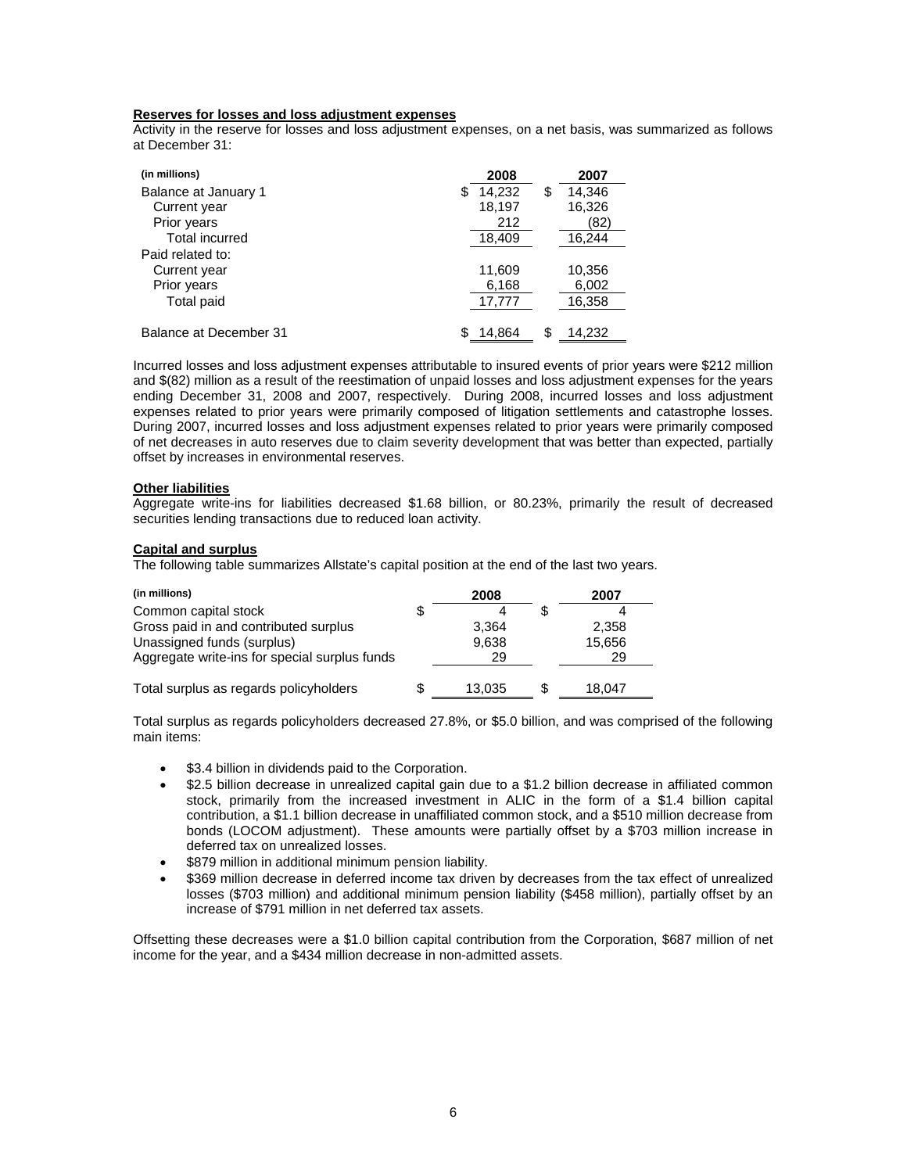# **Reserves for losses and loss adjustment expenses**

Activity in the reserve for losses and loss adjustment expenses, on a net basis, was summarized as follows at December 31:

| (in millions)          | 2008         |    | 2007   |
|------------------------|--------------|----|--------|
| Balance at January 1   | 14,232<br>S. | \$ | 14,346 |
| Current year           | 18,197       |    | 16,326 |
| Prior years            | 212          |    | (82)   |
| <b>Total incurred</b>  | 18,409       |    | 16,244 |
| Paid related to:       |              |    |        |
| Current year           | 11,609       |    | 10,356 |
| Prior years            | 6,168        |    | 6,002  |
| Total paid             | 17,777       |    | 16,358 |
|                        |              |    |        |
| Balance at December 31 | 14,864<br>S  | S  | 14,232 |

Incurred losses and loss adjustment expenses attributable to insured events of prior years were \$212 million and \$(82) million as a result of the reestimation of unpaid losses and loss adjustment expenses for the years ending December 31, 2008 and 2007, respectively. During 2008, incurred losses and loss adjustment expenses related to prior years were primarily composed of litigation settlements and catastrophe losses. During 2007, incurred losses and loss adjustment expenses related to prior years were primarily composed of net decreases in auto reserves due to claim severity development that was better than expected, partially offset by increases in environmental reserves.

## **Other liabilities**

Aggregate write-ins for liabilities decreased \$1.68 billion, or 80.23%, primarily the result of decreased securities lending transactions due to reduced loan activity.

## **Capital and surplus**

The following table summarizes Allstate's capital position at the end of the last two years.

| (in millions)                                 | 2008   | 2007   |
|-----------------------------------------------|--------|--------|
| Common capital stock                          |        |        |
| Gross paid in and contributed surplus         | 3.364  | 2.358  |
| Unassigned funds (surplus)                    | 9,638  | 15,656 |
| Aggregate write-ins for special surplus funds | 29     | 29     |
|                                               |        |        |
| Total surplus as regards policyholders        | 13,035 | 18.047 |

Total surplus as regards policyholders decreased 27.8%, or \$5.0 billion, and was comprised of the following main items:

- \$3.4 billion in dividends paid to the Corporation.
- \$2.5 billion decrease in unrealized capital gain due to a \$1.2 billion decrease in affiliated common stock, primarily from the increased investment in ALIC in the form of a \$1.4 billion capital contribution, a \$1.1 billion decrease in unaffiliated common stock, and a \$510 million decrease from bonds (LOCOM adjustment). These amounts were partially offset by a \$703 million increase in deferred tax on unrealized losses.
- \$879 million in additional minimum pension liability.
- \$369 million decrease in deferred income tax driven by decreases from the tax effect of unrealized losses (\$703 million) and additional minimum pension liability (\$458 million), partially offset by an increase of \$791 million in net deferred tax assets.

Offsetting these decreases were a \$1.0 billion capital contribution from the Corporation, \$687 million of net income for the year, and a \$434 million decrease in non-admitted assets.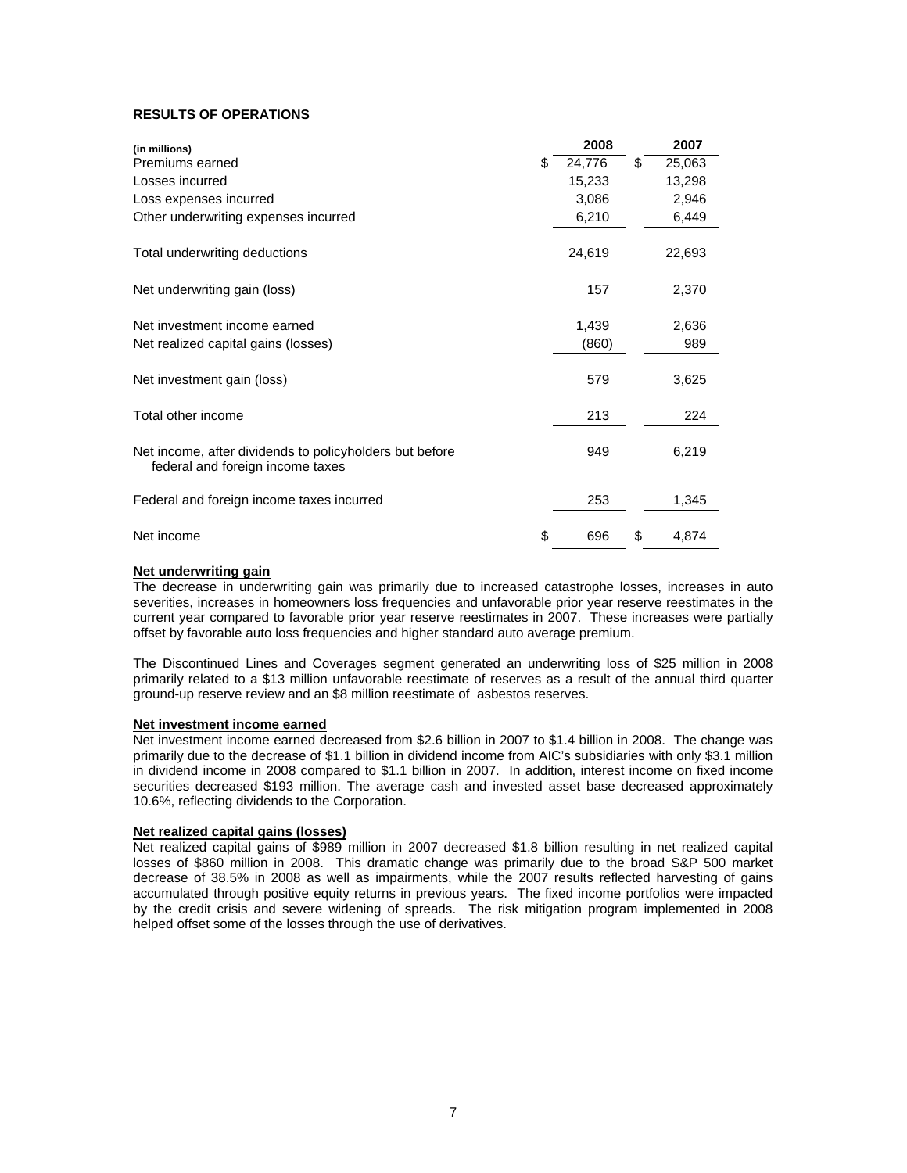# **RESULTS OF OPERATIONS**

| (in millions)                                                                               | 2008         | 2007         |
|---------------------------------------------------------------------------------------------|--------------|--------------|
| Premiums earned                                                                             | \$<br>24,776 | \$<br>25,063 |
| Losses incurred                                                                             | 15,233       | 13,298       |
| Loss expenses incurred                                                                      | 3,086        | 2,946        |
| Other underwriting expenses incurred                                                        | 6,210        | 6,449        |
| Total underwriting deductions                                                               | 24,619       | 22,693       |
| Net underwriting gain (loss)                                                                | 157          | 2,370        |
| Net investment income earned                                                                | 1,439        | 2,636        |
| Net realized capital gains (losses)                                                         | (860)        | 989          |
| Net investment gain (loss)                                                                  | 579          | 3,625        |
| Total other income                                                                          | 213          | 224          |
| Net income, after dividends to policyholders but before<br>federal and foreign income taxes | 949          | 6,219        |
| Federal and foreign income taxes incurred                                                   | 253          | 1,345        |
| Net income                                                                                  | \$<br>696    | \$<br>4,874  |

## **Net underwriting gain**

The decrease in underwriting gain was primarily due to increased catastrophe losses, increases in auto severities, increases in homeowners loss frequencies and unfavorable prior year reserve reestimates in the current year compared to favorable prior year reserve reestimates in 2007. These increases were partially offset by favorable auto loss frequencies and higher standard auto average premium.

The Discontinued Lines and Coverages segment generated an underwriting loss of \$25 million in 2008 primarily related to a \$13 million unfavorable reestimate of reserves as a result of the annual third quarter ground-up reserve review and an \$8 million reestimate of asbestos reserves.

#### **Net investment income earned**

Net investment income earned decreased from \$2.6 billion in 2007 to \$1.4 billion in 2008. The change was primarily due to the decrease of \$1.1 billion in dividend income from AIC's subsidiaries with only \$3.1 million in dividend income in 2008 compared to \$1.1 billion in 2007. In addition, interest income on fixed income securities decreased \$193 million. The average cash and invested asset base decreased approximately 10.6%, reflecting dividends to the Corporation.

#### **Net realized capital gains (losses)**

Net realized capital gains of \$989 million in 2007 decreased \$1.8 billion resulting in net realized capital losses of \$860 million in 2008. This dramatic change was primarily due to the broad S&P 500 market decrease of 38.5% in 2008 as well as impairments, while the 2007 results reflected harvesting of gains accumulated through positive equity returns in previous years. The fixed income portfolios were impacted by the credit crisis and severe widening of spreads. The risk mitigation program implemented in 2008 helped offset some of the losses through the use of derivatives.